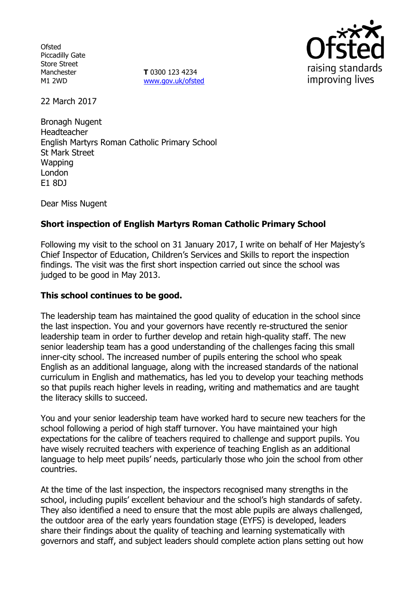**Ofsted** Piccadilly Gate Store Street Manchester M1 2WD

**T** 0300 123 4234 www.gov.uk/ofsted



22 March 2017

Bronagh Nugent Headteacher English Martyrs Roman Catholic Primary School St Mark Street **Wapping** London E1 8DJ

Dear Miss Nugent

# **Short inspection of English Martyrs Roman Catholic Primary School**

Following my visit to the school on 31 January 2017, I write on behalf of Her Majesty's Chief Inspector of Education, Children's Services and Skills to report the inspection findings. The visit was the first short inspection carried out since the school was judged to be good in May 2013.

#### **This school continues to be good.**

The leadership team has maintained the good quality of education in the school since the last inspection. You and your governors have recently re-structured the senior leadership team in order to further develop and retain high-quality staff. The new senior leadership team has a good understanding of the challenges facing this small inner-city school. The increased number of pupils entering the school who speak English as an additional language, along with the increased standards of the national curriculum in English and mathematics, has led you to develop your teaching methods so that pupils reach higher levels in reading, writing and mathematics and are taught the literacy skills to succeed.

You and your senior leadership team have worked hard to secure new teachers for the school following a period of high staff turnover. You have maintained your high expectations for the calibre of teachers required to challenge and support pupils. You have wisely recruited teachers with experience of teaching English as an additional language to help meet pupils' needs, particularly those who join the school from other countries.

At the time of the last inspection, the inspectors recognised many strengths in the school, including pupils' excellent behaviour and the school's high standards of safety. They also identified a need to ensure that the most able pupils are always challenged, the outdoor area of the early years foundation stage (EYFS) is developed, leaders share their findings about the quality of teaching and learning systematically with governors and staff, and subject leaders should complete action plans setting out how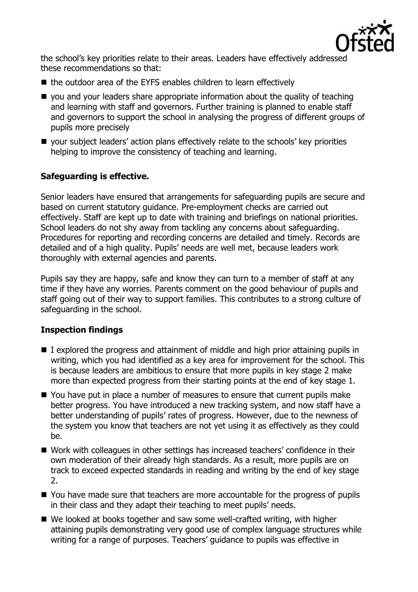

the school's key priorities relate to their areas. Leaders have effectively addressed these recommendations so that:

- the outdoor area of the EYFS enables children to learn effectively
- you and your leaders share appropriate information about the quality of teaching and learning with staff and governors. Further training is planned to enable staff and governors to support the school in analysing the progress of different groups of pupils more precisely
- your subject leaders' action plans effectively relate to the schools' key priorities helping to improve the consistency of teaching and learning.

## **Safeguarding is effective.**

Senior leaders have ensured that arrangements for safeguarding pupils are secure and based on current statutory guidance. Pre-employment checks are carried out effectively. Staff are kept up to date with training and briefings on national priorities. School leaders do not shy away from tackling any concerns about safeguarding. Procedures for reporting and recording concerns are detailed and timely. Records are detailed and of a high quality. Pupils' needs are well met, because leaders work thoroughly with external agencies and parents.

Pupils say they are happy, safe and know they can turn to a member of staff at any time if they have any worries. Parents comment on the good behaviour of pupils and staff going out of their way to support families. This contributes to a strong culture of safeguarding in the school.

## **Inspection findings**

- $\blacksquare$  I explored the progress and attainment of middle and high prior attaining pupils in writing, which you had identified as a key area for improvement for the school. This is because leaders are ambitious to ensure that more pupils in key stage 2 make more than expected progress from their starting points at the end of key stage 1.
- You have put in place a number of measures to ensure that current pupils make better progress. You have introduced a new tracking system, and now staff have a better understanding of pupils' rates of progress. However, due to the newness of the system you know that teachers are not yet using it as effectively as they could be.
- Work with colleagues in other settings has increased teachers' confidence in their own moderation of their already high standards. As a result, more pupils are on track to exceed expected standards in reading and writing by the end of key stage 2.
- You have made sure that teachers are more accountable for the progress of pupils in their class and they adapt their teaching to meet pupils' needs.
- We looked at books together and saw some well-crafted writing, with higher attaining pupils demonstrating very good use of complex language structures while writing for a range of purposes. Teachers' guidance to pupils was effective in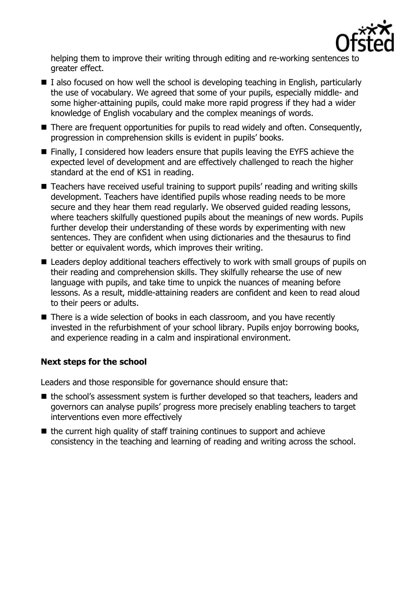

helping them to improve their writing through editing and re-working sentences to greater effect.

- $\blacksquare$  I also focused on how well the school is developing teaching in English, particularly the use of vocabulary. We agreed that some of your pupils, especially middle- and some higher-attaining pupils, could make more rapid progress if they had a wider knowledge of English vocabulary and the complex meanings of words.
- There are frequent opportunities for pupils to read widely and often. Consequently, progression in comprehension skills is evident in pupils' books.
- Finally, I considered how leaders ensure that pupils leaving the EYFS achieve the expected level of development and are effectively challenged to reach the higher standard at the end of KS1 in reading.
- Teachers have received useful training to support pupils' reading and writing skills development. Teachers have identified pupils whose reading needs to be more secure and they hear them read regularly. We observed guided reading lessons, where teachers skilfully questioned pupils about the meanings of new words. Pupils further develop their understanding of these words by experimenting with new sentences. They are confident when using dictionaries and the thesaurus to find better or equivalent words, which improves their writing.
- Leaders deploy additional teachers effectively to work with small groups of pupils on their reading and comprehension skills. They skilfully rehearse the use of new language with pupils, and take time to unpick the nuances of meaning before lessons. As a result, middle-attaining readers are confident and keen to read aloud to their peers or adults.
- There is a wide selection of books in each classroom, and you have recently invested in the refurbishment of your school library. Pupils enjoy borrowing books, and experience reading in a calm and inspirational environment.

#### **Next steps for the school**

Leaders and those responsible for governance should ensure that:

- the school's assessment system is further developed so that teachers, leaders and governors can analyse pupils' progress more precisely enabling teachers to target interventions even more effectively
- $\blacksquare$  the current high quality of staff training continues to support and achieve consistency in the teaching and learning of reading and writing across the school.